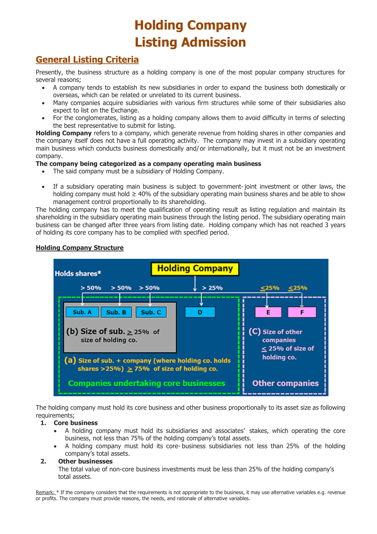# **Holding Company Listing Admission**

# **General Listing Criteria**

Presently, the business structure as a holding company is one of the most popular company structures for several reasons;

- A company tends to establish its new subsidiaries in order to expand the business both domestically or overseas, which can be related or unrelated to its current business.
- Many companies acquire subsidiaries with various firm structures while some of their subsidiaries also expect to list on the Exchange.
- For the conglomerates, listing as a holding company allows them to avoid difficulty in terms of selecting the best representative to submit for listing.

**Holding Company** refers to a company, which generate revenue from holding shares in other companies and the company itself does not have a full operating activity. The company may invest in a subsidiary operating main business which conducts business domestically and/ or internationally, but it must not be an investment company.

#### **The company being categorized as a company operating main business**

- The said company must be a subsidiary of Holding Company.
- If a subsidiary operating main business is subject to government-joint investment or other laws, the holding company must hold  $\geq 40\%$  of the subsidiary operating main business shares and be able to show management control proportionally to its shareholding.

The holding company has to meet the qualification of operating result as listing regulation and maintain its shareholding in the subsidiary operating main business through the listing period. The subsidiary operating main business can be changed after three years from listing date. Holding company which has not reached 3 years of holding its core company has to be complied with specified period.

#### **Holding Company Structure**



The holding company must hold its core business and other business proportionally to its asset size as following requirements;

#### **1. Core business**

- A holding company must hold its subsidiaries and associates' stakes, which operating the core business, not less than 75% of the holding company's total assets.
- A holding company must hold its core- business subsidiaries not less than 25% of the holding company's total assets.

#### **2. Other businesses**

The total value of non-core business investments must be less than 25% of the holding company's total assets.

Remark: \* If the company considers that the requirements is not appropriate to the business, it may use alternative variables e.g. revenue or profits. The company must provide reasons, the needs, and rationale of alternative variables.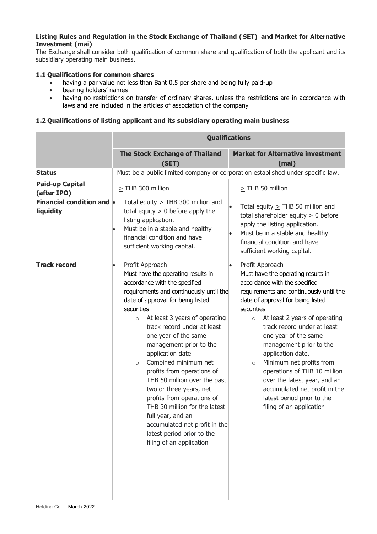#### **Listing Rules and Regulation in the Stock Exchange of Thailand (SET) and Market for Alternative Investment (mai)**

The Exchange shall consider both qualification of common share and qualification of both the applicant and its subsidiary operating main business.

#### **1.1 Qualifications for common shares**

- having a par value not less than Baht 0.5 per share and being fully paid-up
- bearing holders' names
- having no restrictions on transfer of ordinary shares, unless the restrictions are in accordance with laws and are included in the articles of association of the company

#### **1.2 Qualifications of listing applicant and its subsidiary operating main business**

|                                               | <b>Qualifications</b>                                                                                                                                                                                                                                                                                                                                                                                                                                                                                                                                                                                                                                          |                                                                                                                                                                                                                                                                                                                                                                                                                                                                                                                                           |
|-----------------------------------------------|----------------------------------------------------------------------------------------------------------------------------------------------------------------------------------------------------------------------------------------------------------------------------------------------------------------------------------------------------------------------------------------------------------------------------------------------------------------------------------------------------------------------------------------------------------------------------------------------------------------------------------------------------------------|-------------------------------------------------------------------------------------------------------------------------------------------------------------------------------------------------------------------------------------------------------------------------------------------------------------------------------------------------------------------------------------------------------------------------------------------------------------------------------------------------------------------------------------------|
|                                               | <b>The Stock Exchange of Thailand</b><br>(SET)                                                                                                                                                                                                                                                                                                                                                                                                                                                                                                                                                                                                                 | <b>Market for Alternative investment</b><br>(mai)                                                                                                                                                                                                                                                                                                                                                                                                                                                                                         |
| <b>Status</b>                                 |                                                                                                                                                                                                                                                                                                                                                                                                                                                                                                                                                                                                                                                                | Must be a public limited company or corporation established under specific law.                                                                                                                                                                                                                                                                                                                                                                                                                                                           |
| <b>Paid-up Capital</b><br>(after IPO)         | $\geq$ THB 300 million                                                                                                                                                                                                                                                                                                                                                                                                                                                                                                                                                                                                                                         | $\geq$ THB 50 million                                                                                                                                                                                                                                                                                                                                                                                                                                                                                                                     |
| <b>Financial condition and •</b><br>liquidity | Total equity $\geq$ THB 300 million and<br>total equity $> 0$ before apply the<br>listing application.<br>Must be in a stable and healthy<br>$\bullet$<br>financial condition and have<br>sufficient working capital.                                                                                                                                                                                                                                                                                                                                                                                                                                          | Total equity $\geq$ THB 50 million and<br>total shareholder equity $> 0$ before<br>apply the listing application.<br>Must be in a stable and healthy<br>financial condition and have<br>sufficient working capital.                                                                                                                                                                                                                                                                                                                       |
| <b>Track record</b>                           | Profit Approach<br>$\bullet$<br>Must have the operating results in<br>accordance with the specified<br>requirements and continuously until the<br>date of approval for being listed<br>securities<br>At least 3 years of operating<br>$\circ$<br>track record under at least<br>one year of the same<br>management prior to the<br>application date<br>Combined minimum net<br>$\circ$<br>profits from operations of<br>THB 50 million over the past<br>two or three years, net<br>profits from operations of<br>THB 30 million for the latest<br>full year, and an<br>accumulated net profit in the<br>latest period prior to the<br>filing of an application | Profit Approach<br>Must have the operating results in<br>accordance with the specified<br>requirements and continuously until the<br>date of approval for being listed<br>securities<br>At least 2 years of operating<br>$\circ$<br>track record under at least<br>one year of the same<br>management prior to the<br>application date.<br>Minimum net profits from<br>$\circ$<br>operations of THB 10 million<br>over the latest year, and an<br>accumulated net profit in the<br>latest period prior to the<br>filing of an application |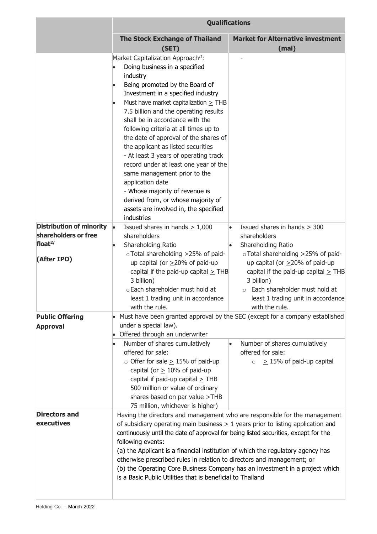|                                 | <b>Qualifications</b>                                                                                                                                                                                                                                                                                                                                                                                                                                                                                                                                                                                                                                                                                                                                       |                                                                                                                                                                                         |
|---------------------------------|-------------------------------------------------------------------------------------------------------------------------------------------------------------------------------------------------------------------------------------------------------------------------------------------------------------------------------------------------------------------------------------------------------------------------------------------------------------------------------------------------------------------------------------------------------------------------------------------------------------------------------------------------------------------------------------------------------------------------------------------------------------|-----------------------------------------------------------------------------------------------------------------------------------------------------------------------------------------|
|                                 | <b>The Stock Exchange of Thailand</b><br>(SET)                                                                                                                                                                                                                                                                                                                                                                                                                                                                                                                                                                                                                                                                                                              | <b>Market for Alternative investment</b><br>(mai)                                                                                                                                       |
| <b>Distribution of minority</b> | Market Capitalization Approach <sup>/1</sup> :<br>Doing business in a specified<br>industry<br>Being promoted by the Board of<br>$\bullet$<br>Investment in a specified industry<br>Must have market capitalization $\geq$ THB<br>7.5 billion and the operating results<br>shall be in accordance with the<br>following criteria at all times up to<br>the date of approval of the shares of<br>the applicant as listed securities<br>- At least 3 years of operating track<br>record under at least one year of the<br>same management prior to the<br>application date<br>- Whose majority of revenue is<br>derived from, or whose majority of<br>assets are involved in, the specified<br>industries<br>Issued shares in hands $\geq 1,000$<br>$\bullet$ | Issued shares in hands $\geq$ 300                                                                                                                                                       |
| shareholders or free            | shareholders                                                                                                                                                                                                                                                                                                                                                                                                                                                                                                                                                                                                                                                                                                                                                | shareholders                                                                                                                                                                            |
| float $2/$                      | Shareholding Ratio<br>oTotal shareholding >25% of paid-                                                                                                                                                                                                                                                                                                                                                                                                                                                                                                                                                                                                                                                                                                     | Shareholding Ratio<br>oTotal shareholding ≥25% of paid-                                                                                                                                 |
| (After IPO)                     | up capital (or $>20\%$ of paid-up<br>capital if the paid-up capital $\geq$ THB<br>3 billion)<br>o Each shareholder must hold at<br>least 1 trading unit in accordance<br>with the rule.                                                                                                                                                                                                                                                                                                                                                                                                                                                                                                                                                                     | up capital (or $>20\%$ of paid-up<br>capital if the paid-up capital $\geq$ THB<br>3 billion)<br>o Each shareholder must hold at<br>least 1 trading unit in accordance<br>with the rule. |
| <b>Public Offering</b>          |                                                                                                                                                                                                                                                                                                                                                                                                                                                                                                                                                                                                                                                                                                                                                             | • Must have been granted approval by the SEC (except for a company established                                                                                                          |
| <b>Approval</b>                 | under a special law).<br>Offered through an underwriter<br>Number of shares cumulatively<br>offered for sale:<br>$\circ$ Offer for sale $\geq$ 15% of paid-up<br>capital (or $\geq$ 10% of paid-up<br>capital if paid-up capital $\geq$ THB<br>500 million or value of ordinary<br>shares based on par value $\geq$ THB<br>75 million, whichever is higher)                                                                                                                                                                                                                                                                                                                                                                                                 | Number of shares cumulatively<br>offered for sale:<br>$\geq$ 15% of paid-up capital<br>$\circ$                                                                                          |
| <b>Directors and</b>            |                                                                                                                                                                                                                                                                                                                                                                                                                                                                                                                                                                                                                                                                                                                                                             | Having the directors and management who are responsible for the management                                                                                                              |
| executives                      | of subsidiary operating main business $\geq 1$ years prior to listing application and<br>continuously until the date of approval for being listed securities, except for the<br>following events:<br>(a) the Applicant is a financial institution of which the regulatory agency has<br>otherwise prescribed rules in relation to directors and management; or<br>(b) the Operating Core Business Company has an investment in a project which<br>is a Basic Public Utilities that is beneficial to Thailand                                                                                                                                                                                                                                                |                                                                                                                                                                                         |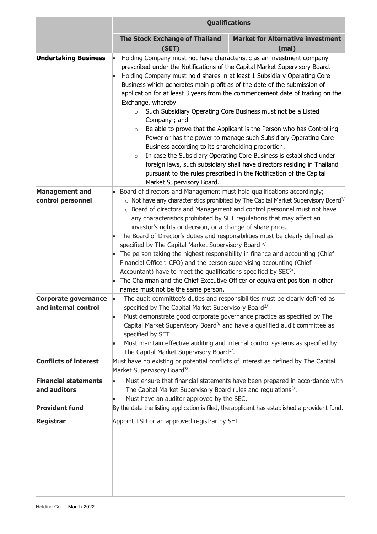|                                                                   | <b>Qualifications</b>                                                                                                                                                                                                                                                                                                                                                                                                                                                                                                                                                                                                                                                                                                                                |                                                                                                                                                                                                                                                                                                                                                                                                                                                                                                                                                                                                                                                                                                                                                                                                                                                                                          |  |
|-------------------------------------------------------------------|------------------------------------------------------------------------------------------------------------------------------------------------------------------------------------------------------------------------------------------------------------------------------------------------------------------------------------------------------------------------------------------------------------------------------------------------------------------------------------------------------------------------------------------------------------------------------------------------------------------------------------------------------------------------------------------------------------------------------------------------------|------------------------------------------------------------------------------------------------------------------------------------------------------------------------------------------------------------------------------------------------------------------------------------------------------------------------------------------------------------------------------------------------------------------------------------------------------------------------------------------------------------------------------------------------------------------------------------------------------------------------------------------------------------------------------------------------------------------------------------------------------------------------------------------------------------------------------------------------------------------------------------------|--|
|                                                                   | <b>The Stock Exchange of Thailand</b><br>(SET)                                                                                                                                                                                                                                                                                                                                                                                                                                                                                                                                                                                                                                                                                                       | <b>Market for Alternative investment</b><br>(mai)                                                                                                                                                                                                                                                                                                                                                                                                                                                                                                                                                                                                                                                                                                                                                                                                                                        |  |
| <b>Undertaking Business</b>                                       | Exchange, whereby<br>$\circ$<br>Company; and<br>$\circ$<br>$\circ$<br>Market Supervisory Board.                                                                                                                                                                                                                                                                                                                                                                                                                                                                                                                                                                                                                                                      | Holding Company must not have characteristic as an investment company<br>prescribed under the Notifications of the Capital Market Supervisory Board.<br>Holding Company must hold shares in at least 1 Subsidiary Operating Core<br>Business which generates main profit as of the date of the submission of<br>application for at least 3 years from the commencement date of trading on the<br>Such Subsidiary Operating Core Business must not be a Listed<br>Be able to prove that the Applicant is the Person who has Controlling<br>Power or has the power to manage such Subsidiary Operating Core<br>Business according to its shareholding proportion.<br>In case the Subsidiary Operating Core Business is established under<br>foreign laws, such subsidiary shall have directors residing in Thailand<br>pursuant to the rules prescribed in the Notification of the Capital |  |
| <b>Management and</b>                                             | • Board of directors and Management must hold qualifications accordingly;                                                                                                                                                                                                                                                                                                                                                                                                                                                                                                                                                                                                                                                                            |                                                                                                                                                                                                                                                                                                                                                                                                                                                                                                                                                                                                                                                                                                                                                                                                                                                                                          |  |
| control personnel<br>Corporate governance<br>and internal control | any characteristics prohibited by SET regulations that may affect an<br>investor's rights or decision, or a change of share price.<br>• The Board of Director's duties and responsibilities must be clearly defined as<br>specified by The Capital Market Supervisory Board <sup>3/</sup><br>The person taking the highest responsibility in finance and accounting (Chief<br>l.<br>Financial Officer: CFO) and the person supervising accounting (Chief<br>Accountant) have to meet the qualifications specified by SEC <sup>3/</sup> .<br>The Chairman and the Chief Executive Officer or equivalent position in other<br>l.<br>names must not be the same person.<br>$\bullet$<br>specified by The Capital Market Supervisory Board <sup>3/</sup> | $\circ$ Not have any characteristics prohibited by The Capital Market Supervisory Board <sup>3/</sup><br>o Board of directors and Management and control personnel must not have<br>The audit committee's duties and responsibilities must be clearly defined as                                                                                                                                                                                                                                                                                                                                                                                                                                                                                                                                                                                                                         |  |
|                                                                   | Must demonstrate good corporate governance practice as specified by The<br>specified by SET<br>The Capital Market Supervisory Board <sup>3/</sup> .                                                                                                                                                                                                                                                                                                                                                                                                                                                                                                                                                                                                  | Capital Market Supervisory Board <sup>3</sup> / and have a qualified audit committee as<br>Must maintain effective auditing and internal control systems as specified by                                                                                                                                                                                                                                                                                                                                                                                                                                                                                                                                                                                                                                                                                                                 |  |
| <b>Conflicts of interest</b>                                      | Must have no existing or potential conflicts of interest as defined by The Capital<br>Market Supervisory Board <sup>3/</sup> .                                                                                                                                                                                                                                                                                                                                                                                                                                                                                                                                                                                                                       |                                                                                                                                                                                                                                                                                                                                                                                                                                                                                                                                                                                                                                                                                                                                                                                                                                                                                          |  |
| <b>Financial statements</b><br>and auditors                       | The Capital Market Supervisory Board rules and regulations <sup>3/</sup> .<br>Must have an auditor approved by the SEC.                                                                                                                                                                                                                                                                                                                                                                                                                                                                                                                                                                                                                              | Must ensure that financial statements have been prepared in accordance with                                                                                                                                                                                                                                                                                                                                                                                                                                                                                                                                                                                                                                                                                                                                                                                                              |  |
| <b>Provident fund</b>                                             | By the date the listing application is filed, the applicant has established a provident fund.                                                                                                                                                                                                                                                                                                                                                                                                                                                                                                                                                                                                                                                        |                                                                                                                                                                                                                                                                                                                                                                                                                                                                                                                                                                                                                                                                                                                                                                                                                                                                                          |  |
| <b>Registrar</b>                                                  | Appoint TSD or an approved registrar by SET                                                                                                                                                                                                                                                                                                                                                                                                                                                                                                                                                                                                                                                                                                          |                                                                                                                                                                                                                                                                                                                                                                                                                                                                                                                                                                                                                                                                                                                                                                                                                                                                                          |  |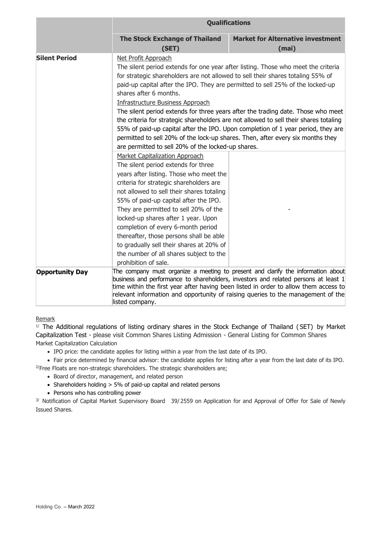|                        | <b>Qualifications</b>                                                                                                                                                                                                                                                                                                                                                                                                                                                                                                                                                                                                                                                                                                                                |                                                                                                                                                                                                                                                                                                                                                    |  |
|------------------------|------------------------------------------------------------------------------------------------------------------------------------------------------------------------------------------------------------------------------------------------------------------------------------------------------------------------------------------------------------------------------------------------------------------------------------------------------------------------------------------------------------------------------------------------------------------------------------------------------------------------------------------------------------------------------------------------------------------------------------------------------|----------------------------------------------------------------------------------------------------------------------------------------------------------------------------------------------------------------------------------------------------------------------------------------------------------------------------------------------------|--|
|                        | <b>The Stock Exchange of Thailand</b><br>(SET)                                                                                                                                                                                                                                                                                                                                                                                                                                                                                                                                                                                                                                                                                                       | <b>Market for Alternative investment</b><br>(mai)                                                                                                                                                                                                                                                                                                  |  |
| <b>Silent Period</b>   | Net Profit Approach<br>The silent period extends for one year after listing. Those who meet the criteria<br>for strategic shareholders are not allowed to sell their shares totaling 55% of<br>paid-up capital after the IPO. They are permitted to sell 25% of the locked-up<br>shares after 6 months.<br>Infrastructure Business Approach<br>The silent period extends for three years after the trading date. Those who meet<br>the criteria for strategic shareholders are not allowed to sell their shares totaling<br>55% of paid-up capital after the IPO. Upon completion of 1 year period, they are<br>permitted to sell 20% of the lock-up shares. Then, after every six months they<br>are permitted to sell 20% of the locked-up shares. |                                                                                                                                                                                                                                                                                                                                                    |  |
|                        | <b>Market Capitalization Approach</b><br>The silent period extends for three<br>years after listing. Those who meet the<br>criteria for strategic shareholders are<br>not allowed to sell their shares totaling<br>55% of paid-up capital after the IPO.<br>They are permitted to sell 20% of the<br>locked-up shares after 1 year. Upon<br>completion of every 6-month period<br>thereafter, those persons shall be able<br>to gradually sell their shares at 20% of<br>the number of all shares subject to the<br>prohibition of sale.                                                                                                                                                                                                             |                                                                                                                                                                                                                                                                                                                                                    |  |
| <b>Opportunity Day</b> | listed company.                                                                                                                                                                                                                                                                                                                                                                                                                                                                                                                                                                                                                                                                                                                                      | The company must organize a meeting to present and clarify the information about<br>business and performance to shareholders, investors and related persons at least 1<br>time within the first year after having been listed in order to allow them access to<br>relevant information and opportunity of raising queries to the management of the |  |

#### Remark

<sup>1/</sup> The Additional regulations of listing ordinary shares in the Stock Exchange of Thailand (SET) by Market Capitalization Test - please visit Common Shares Listing Admission - General Listing for Common Shares Market Capitalization Calculation

• IPO price: the candidate applies for listing within a year from the last date of its IPO.

• Fair price determined by financial advisor: the candidate applies for listing after a year from the last date of its IPO.

 $^{2}/$ Free Floats are non-strategic shareholders. The strategic shareholders are;

- Board of director, management, and related person
- Shareholders holding > 5% of paid-up capital and related persons
- Persons who has controlling power

<sup>3/</sup> Notification of Capital Market Supervisory Board 39/2559 on Application for and Approval of Offer for Sale of Newly Issued Shares.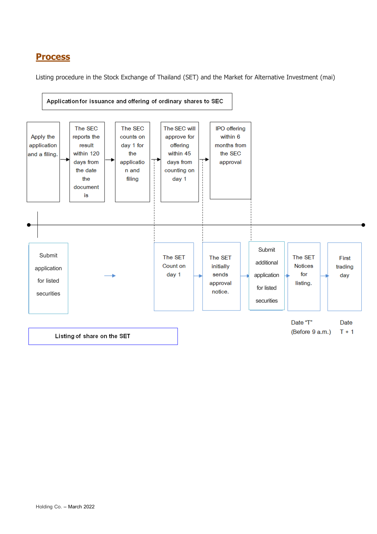### **Process**

Listing procedure in the Stock Exchange of Thailand (SET) and the Market for Alternative Investment (mai)

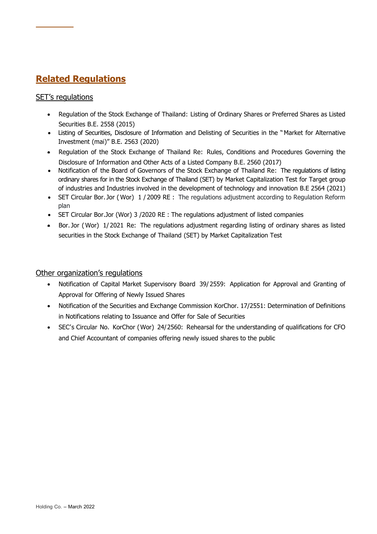# **Related Regulations**

#### SET's regulations

- Regulation of the Stock Exchange of Thailand: Listing of Ordinary Shares or Preferred Shares as Listed Securities B.E. 2558 (2015)
- Listing of Securities, Disclosure of Information and Delisting of Securities in the "Market for Alternative Investment (mai)" B.E. 2563 (2020)
- Regulation of the Stock Exchange of Thailand Re: Rules, Conditions and Procedures Governing the Disclosure of Information and Other Acts of a Listed Company B.E. 2560 (2017)
- Notification of the Board of Governors of the Stock Exchange of Thailand Re: The regulations of listing ordinary shares for in the Stock Exchange of Thailand (SET) by Market Capitalization Test for Target group of industries and Industries involved in the development of technology and innovation B.E 2564 (2021)
- SET Circular Bor. Jor ( Wor) 1 / 2009 RE : The regulations adjustment according to Regulation Reform plan
- SET Circular Bor.Jor (Wor) 3 /2020 RE : The regulations adjustment of listed companies
- Bor. Jor ( Wor) 1/ 2021 Re: The regulations adjustment regarding listing of ordinary shares as listed securities in the Stock Exchange of Thailand (SET) by Market Capitalization Test

#### Other organization's regulations

- Notification of Capital Market Supervisory Board 39/ 2559: Application for Approval and Granting of Approval for Offering of Newly Issued Shares
- Notification of the Securities and Exchange Commission KorChor. 17/2551: Determination of Definitions in Notifications relating to Issuance and Offer for Sale of Securities
- SEC's Circular No. KorChor (Wor) 24/2560: Rehearsal for the understanding of qualifications for CFO and Chief Accountant of companies offering newly issued shares to the public